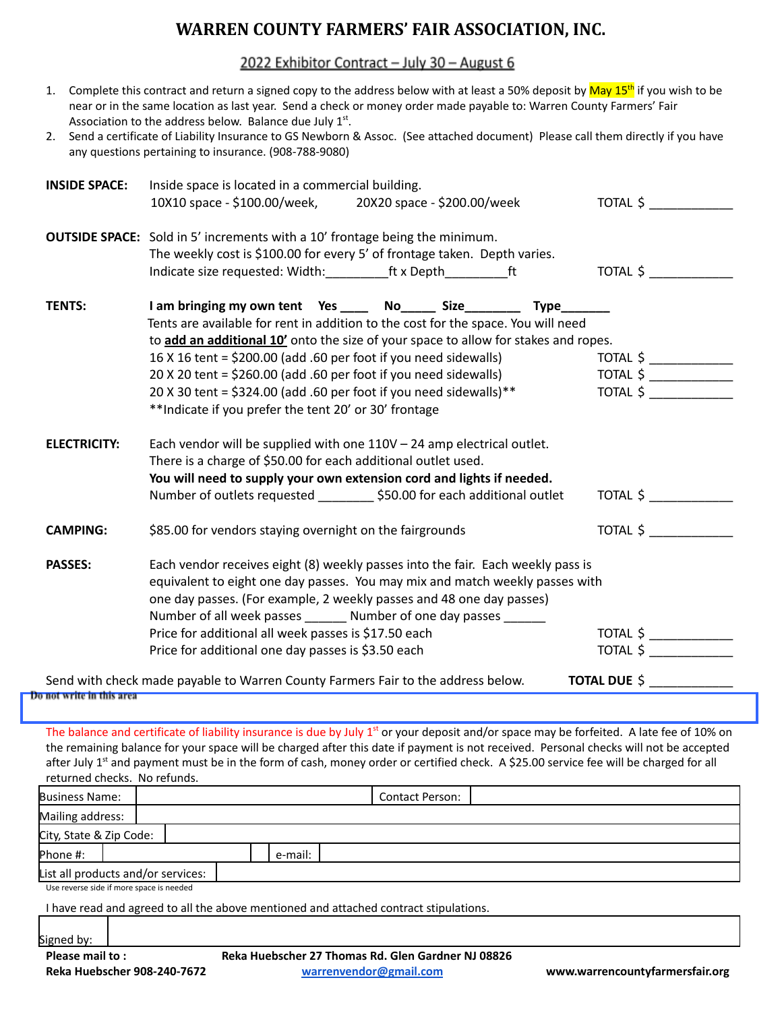# **WARREN COUNTY FARMERS' FAIR ASSOCIATION, INC.**

2022 Exhibitor Contract - July 30 - August 6

| 1.                        | Complete this contract and return a signed copy to the address below with at least a 50% deposit by May 15 <sup>th</sup> if you wish to be<br>near or in the same location as last year. Send a check or money order made payable to: Warren County Farmers' Fair<br>Association to the address below. Balance due July 1 <sup>st</sup> . |                                 |  |  |  |  |  |  |
|---------------------------|-------------------------------------------------------------------------------------------------------------------------------------------------------------------------------------------------------------------------------------------------------------------------------------------------------------------------------------------|---------------------------------|--|--|--|--|--|--|
|                           | 2. Send a certificate of Liability Insurance to GS Newborn & Assoc. (See attached document) Please call them directly if you have<br>any questions pertaining to insurance. (908-788-9080)                                                                                                                                                |                                 |  |  |  |  |  |  |
| <b>INSIDE SPACE:</b>      | Inside space is located in a commercial building.<br>20X20 space - \$200.00/week<br>10X10 space - \$100.00/week,                                                                                                                                                                                                                          | TOTAL \$                        |  |  |  |  |  |  |
|                           | <b>OUTSIDE SPACE:</b> Sold in 5' increments with a 10' frontage being the minimum.<br>The weekly cost is \$100.00 for every 5' of frontage taken. Depth varies.                                                                                                                                                                           | TOTAL \$                        |  |  |  |  |  |  |
| <b>TENTS:</b>             | I am bringing my own tent Yes ____ No_____ Size________<br><b>Type</b><br>Tents are available for rent in addition to the cost for the space. You will need                                                                                                                                                                               |                                 |  |  |  |  |  |  |
|                           | to add an additional 10' onto the size of your space to allow for stakes and ropes.                                                                                                                                                                                                                                                       |                                 |  |  |  |  |  |  |
|                           | 16 X 16 tent = \$200.00 (add .60 per foot if you need sidewalls)                                                                                                                                                                                                                                                                          | TOTAL $\frac{1}{2}$             |  |  |  |  |  |  |
|                           | 20 X 20 tent = \$260.00 (add .60 per foot if you need sidewalls)                                                                                                                                                                                                                                                                          | TOTAL $\frac{1}{2}$<br>TOTAL \$ |  |  |  |  |  |  |
|                           | 20 X 30 tent = \$324.00 (add .60 per foot if you need sidewalls)**<br>** Indicate if you prefer the tent 20' or 30' frontage                                                                                                                                                                                                              |                                 |  |  |  |  |  |  |
| <b>ELECTRICITY:</b>       | Each vendor will be supplied with one $110V - 24$ amp electrical outlet.<br>There is a charge of \$50.00 for each additional outlet used.                                                                                                                                                                                                 |                                 |  |  |  |  |  |  |
|                           | You will need to supply your own extension cord and lights if needed.                                                                                                                                                                                                                                                                     |                                 |  |  |  |  |  |  |
|                           | Number of outlets requested _________ \$50.00 for each additional outlet                                                                                                                                                                                                                                                                  | TOTAL \$                        |  |  |  |  |  |  |
| <b>CAMPING:</b>           | \$85.00 for vendors staying overnight on the fairgrounds                                                                                                                                                                                                                                                                                  | TOTAL \$                        |  |  |  |  |  |  |
| <b>PASSES:</b>            | Each vendor receives eight (8) weekly passes into the fair. Each weekly pass is<br>equivalent to eight one day passes. You may mix and match weekly passes with<br>one day passes. (For example, 2 weekly passes and 48 one day passes)<br>Number of all week passes _______ Number of one day passes ______                              |                                 |  |  |  |  |  |  |
|                           | Price for additional all week passes is \$17.50 each                                                                                                                                                                                                                                                                                      | TOTAL $\frac{1}{2}$             |  |  |  |  |  |  |
|                           | TOTAL \$                                                                                                                                                                                                                                                                                                                                  |                                 |  |  |  |  |  |  |
|                           | <b>TOTAL DUE \$</b><br>Send with check made payable to Warren County Farmers Fair to the address below.                                                                                                                                                                                                                                   |                                 |  |  |  |  |  |  |
| Do not write in this area |                                                                                                                                                                                                                                                                                                                                           |                                 |  |  |  |  |  |  |

The balance and certificate of liability insurance is due by July  $1<sup>st</sup>$  or your deposit and/or space may be forfeited. A late fee of 10% on the remaining balance for your space will be charged after this date if payment is not received. Personal checks will not be accepted after July 1<sup>st</sup> and payment must be in the form of cash, money order or certified check. A \$25.00 service fee will be charged for all returned checks. No refunds.

| <b>Business Name:</b>                                                                 |  |  |  |  |         |  | <b>Contact Person:</b> |  |  |
|---------------------------------------------------------------------------------------|--|--|--|--|---------|--|------------------------|--|--|
| Mailing address:                                                                      |  |  |  |  |         |  |                        |  |  |
| City, State & Zip Code:                                                               |  |  |  |  |         |  |                        |  |  |
| Phone #:                                                                              |  |  |  |  | e-mail: |  |                        |  |  |
| List all products and/or services:                                                    |  |  |  |  |         |  |                        |  |  |
| Use reverse side if more space is needed                                              |  |  |  |  |         |  |                        |  |  |
| I have read and agreed to all the above mentioned and attached contract stipulations. |  |  |  |  |         |  |                        |  |  |

Signed by: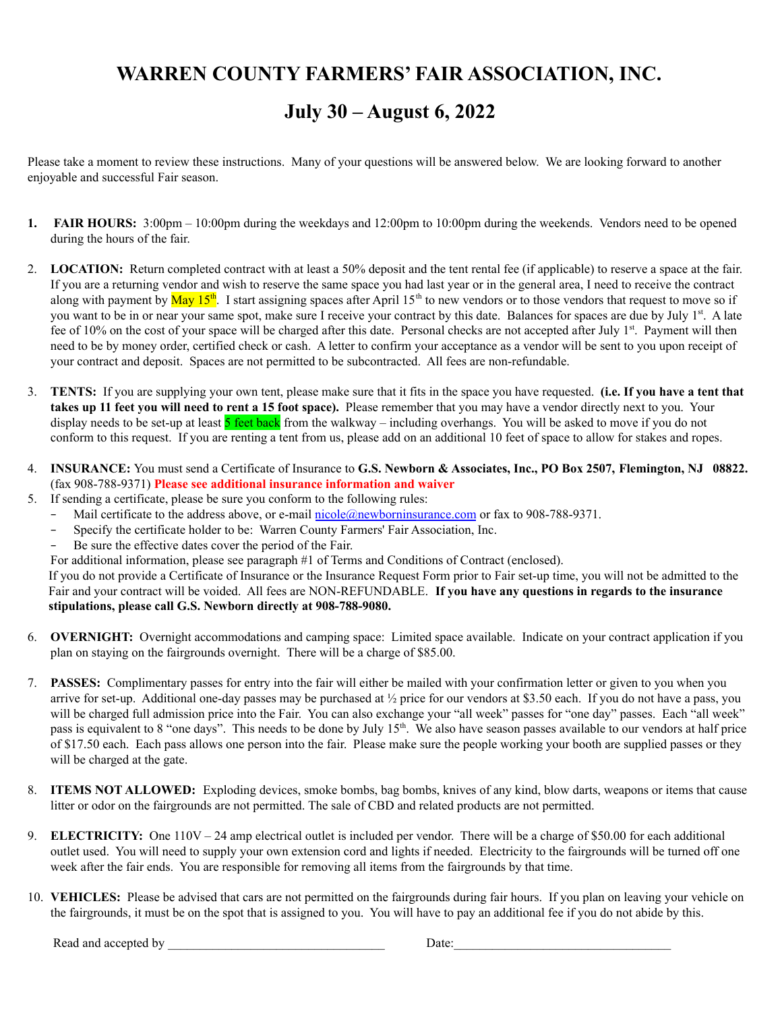# **WARREN COUNTY FARMERS' FAIR ASSOCIATION, INC.**

## **July 30 – August 6, 2022**

Please take a moment to review these instructions. Many of your questions will be answered below. We are looking forward to another enjoyable and successful Fair season.

- **1. FAIR HOURS:** 3:00pm 10:00pm during the weekdays and 12:00pm to 10:00pm during the weekends. Vendors need to be opened during the hours of the fair.
- 2. **LOCATION:** Return completed contract with at least a 50% deposit and the tent rental fee (if applicable) to reserve a space at the fair. If you are a returning vendor and wish to reserve the same space you had last year or in the general area, I need to receive the contract along with payment by  $\text{May } 15^{\text{th}}$ . I start assigning spaces after April  $15^{\text{th}}$  to new vendors or to those vendors that request to move so if you want to be in or near your same spot, make sure I receive your contract by this date. Balances for spaces are due by July 1<sup>st</sup>. A late fee of 10% on the cost of your space will be charged after this date. Personal checks are not accepted after July 1<sup>st</sup>. Payment will then need to be by money order, certified check or cash. A letter to confirm your acceptance as a vendor will be sent to you upon receipt of your contract and deposit. Spaces are not permitted to be subcontracted. All fees are non-refundable.
- 3. **TENTS:** If you are supplying your own tent, please make sure that it fits in the space you have requested. **(i.e. If you have a tent that takes up 11 feet you will need to rent a 15 foot space).** Please remember that you may have a vendor directly next to you. Your display needs to be set-up at least **5** feet back from the walkway – including overhangs. You will be asked to move if you do not conform to this request. If you are renting a tent from us, please add on an additional 10 feet of space to allow for stakes and ropes.
- 4. **INSURANCE:** You must send a Certificate of Insurance to **G.S. Newborn & Associates, Inc., PO Box 2507, Flemington, NJ 08822.** (fax 908-788-9371) **Please see additional insurance information and waiver**
- 5. If sending a certificate, please be sure you conform to the following rules:
	- Mail certificate to the address above, or e-mail [nicole@newborninsurance.com](mailto:nicole@newborninsurance.com) or fax to 908-788-9371.
	- − Specify the certificate holder to be: Warren County Farmers' Fair Association, Inc.
	- − Be sure the effective dates cover the period of the Fair.
	- For additional information, please see paragraph #1 of Terms and Conditions of Contract (enclosed).

If you do not provide a Certificate of Insurance or the Insurance Request Form prior to Fair set-up time, you will not be admitted to the Fair and your contract will be voided. All fees are NON-REFUNDABLE. **If you have any questions in regards to the insurance stipulations, please call G.S. Newborn directly at 908-788-9080.**

- 6. **OVERNIGHT:** Overnight accommodations and camping space: Limited space available. Indicate on your contract application if you plan on staying on the fairgrounds overnight. There will be a charge of \$85.00.
- 7. **PASSES:** Complimentary passes for entry into the fair will either be mailed with your confirmation letter or given to you when you arrive for set-up. Additional one-day passes may be purchased at  $\frac{1}{2}$  price for our vendors at \$3.50 each. If you do not have a pass, you will be charged full admission price into the Fair. You can also exchange your "all week" passes for "one day" passes. Each "all week" pass is equivalent to 8 "one days". This needs to be done by July  $15<sup>th</sup>$ . We also have season passes available to our vendors at half price of \$17.50 each. Each pass allows one person into the fair. Please make sure the people working your booth are supplied passes or they will be charged at the gate.
- 8. **ITEMS NOT ALLOWED:** Exploding devices, smoke bombs, bag bombs, knives of any kind, blow darts, weapons or items that cause litter or odor on the fairgrounds are not permitted. The sale of CBD and related products are not permitted.
- 9. **ELECTRICITY:** One 110V 24 amp electrical outlet is included per vendor. There will be a charge of \$50.00 for each additional outlet used. You will need to supply your own extension cord and lights if needed. Electricity to the fairgrounds will be turned off one week after the fair ends. You are responsible for removing all items from the fairgrounds by that time.
- 10. **VEHICLES:** Please be advised that cars are not permitted on the fairgrounds during fair hours. If you plan on leaving your vehicle on the fairgrounds, it must be on the spot that is assigned to you. You will have to pay an additional fee if you do not abide by this.

Read and accepted by \_\_\_\_\_\_\_\_\_\_\_\_\_\_\_\_\_\_\_\_\_\_\_\_\_\_\_\_\_\_\_\_\_\_ Date:\_\_\_\_\_\_\_\_\_\_\_\_\_\_\_\_\_\_\_\_\_\_\_\_\_\_\_\_\_\_\_\_\_\_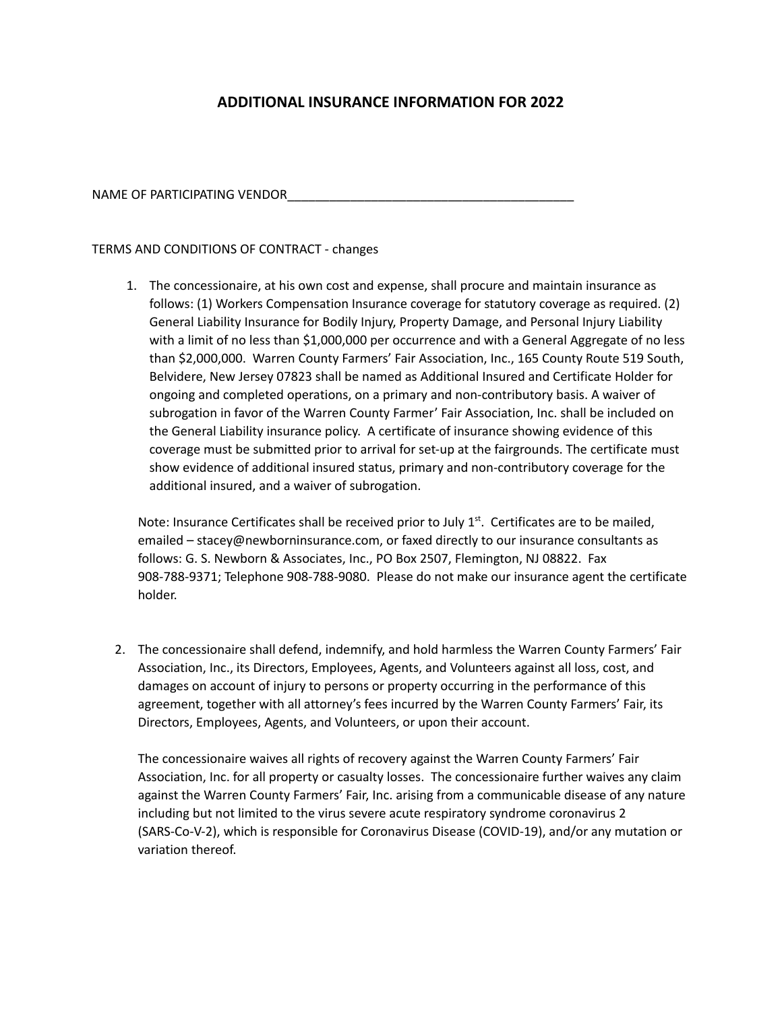## **ADDITIONAL INSURANCE INFORMATION FOR 2022**

NAME OF PARTICIPATING VENDOR

### TERMS AND CONDITIONS OF CONTRACT - changes

1. The concessionaire, at his own cost and expense, shall procure and maintain insurance as follows: (1) Workers Compensation Insurance coverage for statutory coverage as required. (2) General Liability Insurance for Bodily Injury, Property Damage, and Personal Injury Liability with a limit of no less than \$1,000,000 per occurrence and with a General Aggregate of no less than \$2,000,000. Warren County Farmers' Fair Association, Inc., 165 County Route 519 South, Belvidere, New Jersey 07823 shall be named as Additional Insured and Certificate Holder for ongoing and completed operations, on a primary and non-contributory basis. A waiver of subrogation in favor of the Warren County Farmer' Fair Association, Inc. shall be included on the General Liability insurance policy. A certificate of insurance showing evidence of this coverage must be submitted prior to arrival for set-up at the fairgrounds. The certificate must show evidence of additional insured status, primary and non-contributory coverage for the additional insured, and a waiver of subrogation.

Note: Insurance Certificates shall be received prior to July  $1<sup>st</sup>$ . Certificates are to be mailed, emailed – [stacey@newborninsurance.com](mailto:stacey@newborninsurance.com), or faxed directly to our insurance consultants as follows: G. S. Newborn & Associates, Inc., PO Box 2507, Flemington, NJ 08822. Fax 908-788-9371; Telephone 908-788-9080. Please do not make our insurance agent the certificate holder.

2. The concessionaire shall defend, indemnify, and hold harmless the Warren County Farmers' Fair Association, Inc., its Directors, Employees, Agents, and Volunteers against all loss, cost, and damages on account of injury to persons or property occurring in the performance of this agreement, together with all attorney's fees incurred by the Warren County Farmers' Fair, its Directors, Employees, Agents, and Volunteers, or upon their account.

The concessionaire waives all rights of recovery against the Warren County Farmers' Fair Association, Inc. for all property or casualty losses. The concessionaire further waives any claim against the Warren County Farmers' Fair, Inc. arising from a communicable disease of any nature including but not limited to the virus severe acute respiratory syndrome coronavirus 2 (SARS-Co-V-2), which is responsible for Coronavirus Disease (COVID-19), and/or any mutation or variation thereof.